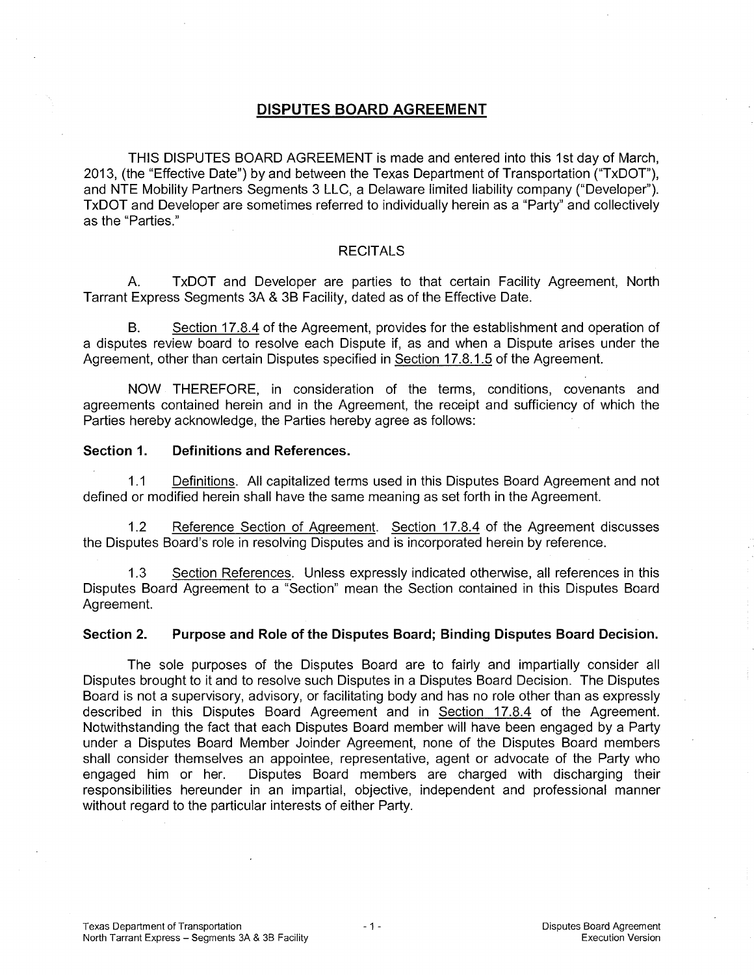# **DISPUTES BOARD AGREEMENT**

THIS DISPUTES BOARD AGREEMENT is made and entered into this 1st day of March, 2013, (the "Effective Date") by and between the Texas Department of Transportation ("TxDOT"), and NTE Mobility Partners Segments 3 LLC, a Delaware limited liability company ("Developer"). TxDOT and Developer are sometimes referred to individually herein as a "Party" and collectively as the "Parties."

## **RECITALS**

A. TxDOT and Developer are parties to that certain Facility Agreement, North Tarrant Express Segments 3A & 3B Facility, dated as of the Effective Date.

B. Section 17.8.4 of the Agreement, provides for the establishment and operation of a disputes review board to resolve each Dispute if, as and when a Dispute arises under the Agreement, other than certain Disputes specified in Section 17.8.1.5 of the Agreement.

NOW THEREFORE, in consideration of the terms, conditions, covenants and agreements contained herein and in the Agreement, the receipt and sufficiency of which the Parties hereby acknowledge, the Parties hereby agree as follows:

## **Section 1. Definitions and References.**

1.1 Definitions. All capitalized terms used in this Disputes Board Agreement and not defined or modified herein shall have the same meaning as set forth in the Agreement.

1.2 Reference Section of Agreement. Section 17.8.4 of the Agreement discusses the Disputes Board's role in resolving Disputes and is incorporated herein by reference.

1.3 Section References. Unless expressly indicated otherwise, all references in this Disputes Board Agreement to a "Section" mean the Section contained in this Disputes Board Agreement.

### **Section 2. Purpose and Role of the Disputes Board; Binding Disputes Board Decision.**

The sole purposes of the Disputes Board are to fairly and impartially consider all Disputes brought to it and to resolve such Disputes in a Disputes Board Decision. The Disputes Board is not a supervisory, advisory, or facilitating body and has no role other than as expressly described in this Disputes Board Agreement and in Section 17.8.4 of the Agreement. Notwithstanding the fact that each Disputes Board member will have been engaged by a Party under a Disputes Board Member Joinder Agreement, none of the Disputes Board members shall consider themselves an appointee, representative, agent or advocate of the Party who engaged him or her. Disputes Board members are charged with discharging their responsibilities hereunder in an impartial, objective, independent and professional manner without regard to the particular interests of either Party.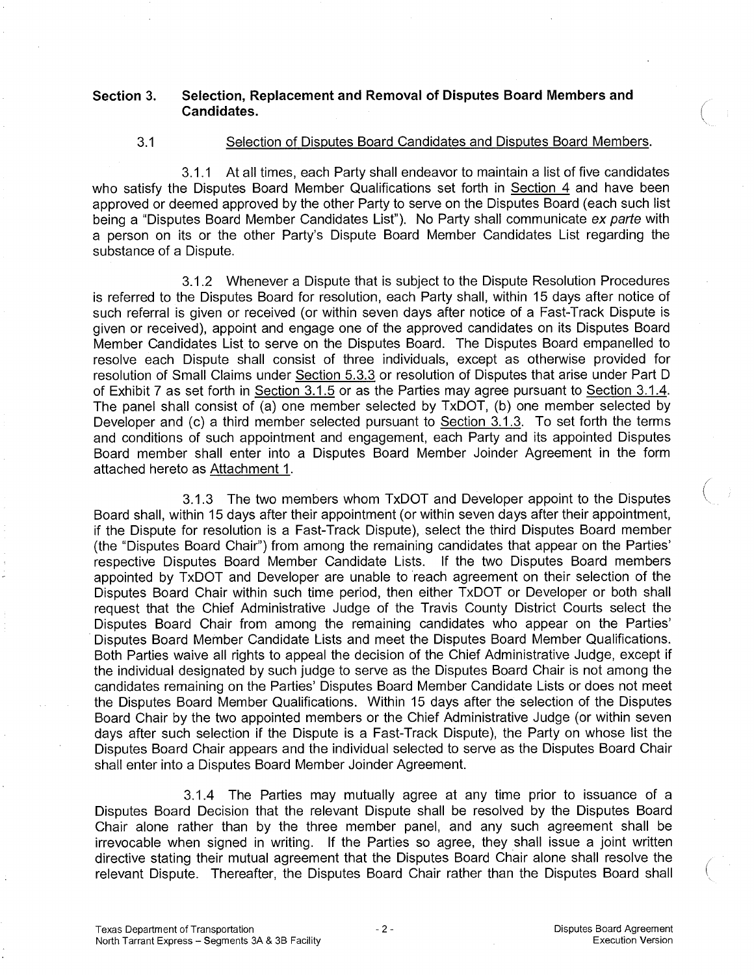## **Section 3. Selection, Replacement and Removal of Disputes Board Members and Candidates.**

## 3.1 Selection of Disputes Board Candidates and Disputes Board Members.

3.1.1 At all times, each Party shall endeavor to maintain a list of five candidates who satisfy the Disputes Board Member Qualifications set forth in Section 4 and have been approved or deemed approved by the other Party to serve on the Disputes Board (each such list being a "Disputes Board Member Candidates List"). No Party shall communicate ex parte with a person on its or the other Party's Dispute Board Member Candidates List regarding the substance of a Dispute.

3.1.2 Whenever a Dispute that is subject to the Dispute Resolution Procedures is referred to the Disputes Board for resolution, each Party shall, within 15 days after notice of such referral is given or received (or within seven days after notice of a Fast-Track Dispute is given or received), appoint and engage one of the approved candidates on its Disputes Board Member Candidates List to serve on the Disputes Board. The Disputes Board empanelled to resolve each Dispute shall consist of three individuals, except as otherwise provided for resolution of Small Claims under Section 5.3.3 or resolution of Disputes that arise under Part D of Exhibit 7 as set forth in Section 3.1.5 or as the Parties may agree pursuant to Section 3.1.4. The panel shall consist of (a) one member selected by TxDOT, (b) one member selected by Developer and (c) a third member selected pursuant to Section 3.1.3. To set forth the terms and conditions of such appointment and engagement, each Party and its appointed Disputes Board member shall enter into a Disputes Board Member Joinder Agreement in the form attached hereto as Attachment 1.

3.1.3 The two members whom TxDOT and Developer appoint to the Disputes Board shall, within 15 days after their appointment (or within seven days after their appointment, if the Dispute for resolution is a Fast-Track Dispute), select the third Disputes Board member (the "Disputes Board Chair") from among the remaining candidates that appear on the Parties' respective Disputes Board Member Candidate Lists. If the two Disputes Board members appointed by TxDOT and Developer are unable to reach agreement on their selection of the Disputes Board Chair within such time period, then either TxDOT or Developer or both shall request that the Chief Administrative Judge of the Travis County District Courts select the Disputes Board Chair from among the remaining candidates who appear on the Parties' Disputes Board Member Candidate Lists and meet the Disputes Board Member Qualifications. Both Parties waive all rights to appeal the decision of the Chief Administrative Judge, except if the individual designated by such judge to serve as the Disputes Board Chair is not among the candidates remaining on the Parties' Disputes Board Member Candidate Lists or does not meet the Disputes Board Member Qualifications. Within 15 days after the selection of the Disputes Board Chair by the two appointed members or the Chief Administrative Judge (or within seven days after such selection if the Dispute is a Fast-Track Dispute), the Party on whose list the Disputes Board Chair appears and the individual selected to serve as the Disputes Board Chair shall enter into a Disputes Board Member Joinder Agreement.

3.1.4 The Parties may mutually agree at any time prior to issuance of a Disputes Board Decision that the relevant Dispute shall be resolved by the Disputes Board Chair alone rather than by the three member panel, and any such agreement shall be irrevocable when signed in writing. If the Parties so agree, they shall issue a joint written directive stating their mutual agreement that the Disputes Board Chair alone shall resolve the relevant Dispute. Thereafter, the Disputes Board Chair rather than the Disputes Board shall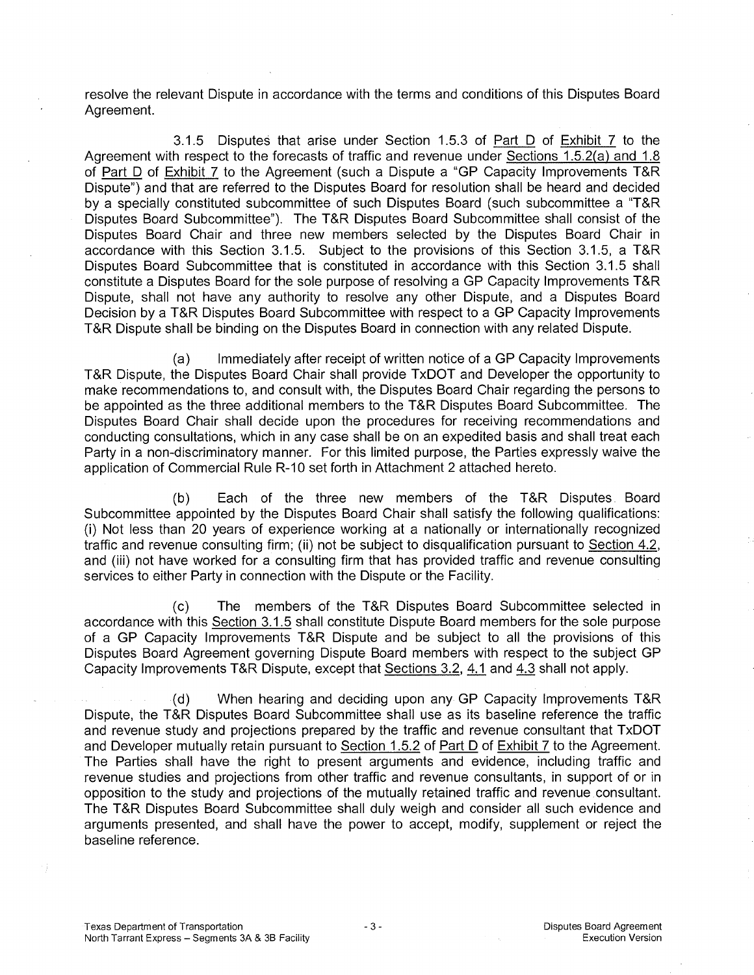resolve the relevant Dispute in accordance with the terms and conditions of this Disputes Board Agreement.

3.1.5 Disputes that arise under Section 1.5.3 of Part D of Exhibit 7 to the Agreement with respect to the forecasts of traffic and revenue under Sections 1.5.2(a) and 1.8 of Part D of Exhibit 7 to the Agreement (such a Dispute a "GP Capacity Improvements T&R Dispute") and that are referred to the Disputes Board for resolution shall be heard and decided by a specially constituted subcommittee of such Disputes Board (such subcommittee a "T&R Disputes Board Subcommittee"). The T&R Disputes Board Subcommittee shall consist of the Disputes Board Chair and three new members selected by the Disputes Board Chair in accordance with this Section 3.1.5. Subject to the provisions of this Section 3.1.5, a T&R Disputes Board Subcommittee that is constituted in accordance with this Section 3.1.5 shall constitute a Disputes Board for the sole purpose of resolving a GP Capacity Improvements T&R Dispute, shall not have any authority to resolve any other Dispute, and a Disputes Board Decision by a T&R Disputes Board Subcommittee with respect to a GP Capacity Improvements T&R Dispute shall be binding on the Disputes Board in connection with any related Dispute.

(a) Immediately after receipt of written notice of a GP Capacity Improvements T&R Dispute, the Disputes Board Chair shall provide TxDOT and Developer the opportunity to make recommendations to, and consult with, the Disputes Board Chair regarding the persons to be appointed as the three additional members to the T&R Disputes Board Subcommittee. The Disputes Board Chair shall decide upon the procedures for receiving recommendations and conducting consultations, which in any case shall be on an expedited basis and shall treat each Party in a non-discriminatory manner. For this limited purpose, the Parties expressly waive the application of Commercial Rule R-10 set forth in Attachment 2 attached hereto.

(b) Each of the three new members of the T&R Disputes. Board Subcommittee appointed by the Disputes Board Chair shall satisfy the following qualifications: (i) Not less than 20 years of experience working at a nationally or internationally recognized traffic and revenue consulting firm; (ii) not be subject to disqualification pursuant to Section 4.2, and (iii) not have worked for a consulting firm that has provided traffic and revenue consulting services to either Party in connection with the Dispute or the Facility.

(c) The members of the T&R Disputes Board Subcommittee selected in accordance with this Section 3.1.5 shall constitute Dispute Board members for the sole purpose of a GP Capacity Improvements T&R Dispute and be subject to all the provisions of this Disputes Board Agreement governing Dispute Board members with respect to the subject GP Capacity Improvements T&R Dispute, except that Sections 3.2, 4.1 and 4.3 shall not apply.

(d) When hearing and deciding upon any GP Capacity Improvements T&R Dispute, the T&R Disputes Board Subcommittee shall use as its baseline reference the traffic and revenue study and projections prepared by the traffic and revenue consultant that TxDOT and Developer mutually retain pursuant to Section 1.5.2 of Part D of Exhibit 7 to the Agreement. The Parties shall have the right to present arguments and evidence, including traffic and revenue studies and projections from other traffic and revenue consultants, in support of or in opposition to the study and projections of the mutually retained traffic and revenue consultant. The T&R Disputes Board Subcommittee shall duly weigh and consider all such evidence and arguments presented, and shall have the power to accept, modify, supplement or reject the baseline reference.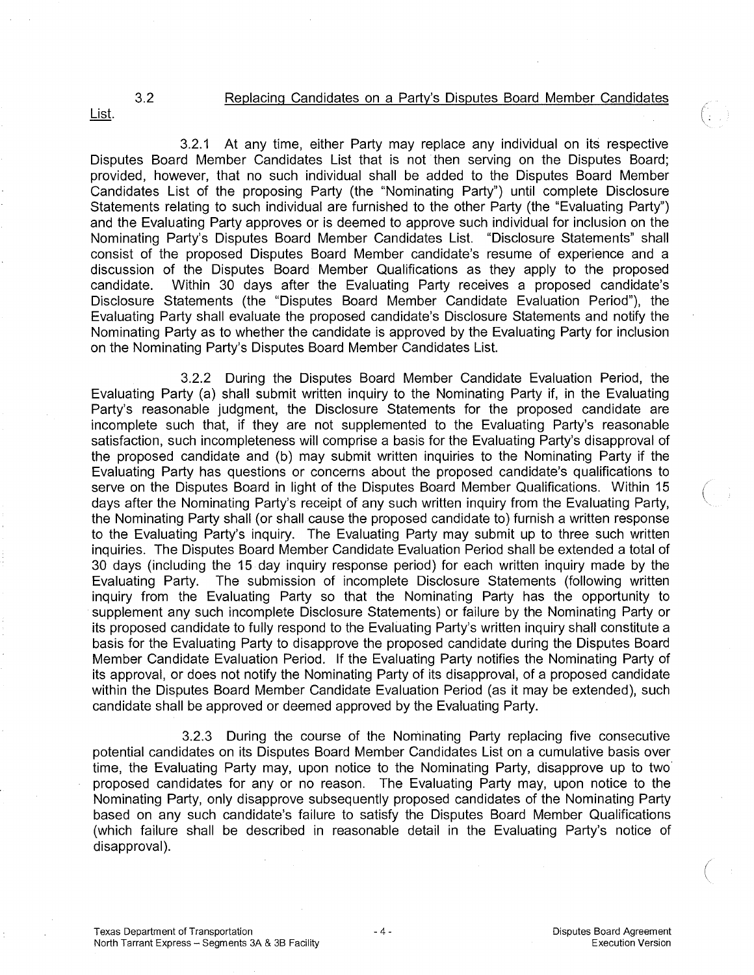# 3.2 Replacing Candidates on a Party's Disputes Board Member Candidates

List.

3.2.1 At any time, either Party may replace any individual on its respective Disputes Board Member Candidates List that is not then serving on the Disputes Board; provided, however, that no such individual shall be added to the Disputes Board Member Candidates List of the proposing Party (the "Nominating Party") until complete Disclosure Statements relating to such individual are furnished to the other Party (the "Evaluating Party") and the Evaluating Party approves or is deemed to approve such individual for inclusion on the Nominating Party's Disputes Board Member Candidates List. "Disclosure Statements" shall consist of the proposed Disputes Board Member candidate's resume of experience and a discussion of the Disputes Board Member Qualifications as they apply to the proposed candidate. Within 30 days after the Evaluating Party receives a proposed candidate's Disclosure Statements (the "Disputes Board Member Candidate Evaluation Period"), the Evaluating Party shall evaluate the proposed candidate's Disclosure Statements and notify the Nominating Party as to whether the candidate is approved by the Evaluating Party for inclusion on the Nominating Party's Disputes Board Member Candidates List.

3.2.2 During the Disputes Board Member Candidate Evaluation Period, the Evaluating Party (a) shall submit written inquiry to the Nominating Party if, in the Evaluating Party's reasonable judgment, the Disclosure Statements for the proposed candidate are incomplete such that, if they are not supplemented to the Evaluating Party's reasonable satisfaction, such incompleteness will comprise a basis for the Evaluating Party's disapproval of the proposed candidate and (b) may submit written inquiries to the Nominating Party if the Evaluating Party has questions or concerns about the proposed candidate's qualifications to serve on the Disputes Board in light of the Disputes Board Member Qualifications. Within 15 days after the Nominating Party's receipt of any such written inquiry from the Evaluating Party, the Nominating Party shall (or shall cause the proposed candidate to) furnish a written response to the Evaluating Party's inquiry. The Evaluating Party may submit up to three such written inquiries. The Disputes Board Member Candidate Evaluation Period shall be extended a total of 30 days (including the 15 day inquiry response period) for each written inquiry made by the Evaluating Party. The submission of incomplete Disclosure Statements (following written inquiry from the Evaluating Party so that the Nominating Party has the opportunity to supplement any such incomplete Disclosure Statements) or failure by the Nominating Party or its proposed candidate to fully respond to the Evaluating Party's written inquiry shall constitute a basis for the Evaluating Party to disapprove the proposed candidate during the Disputes Board Member Candidate Evaluation Period. If the Evaluating Party notifies the Nominating Party of its approval, or does not notify the Nominating Party of its disapproval, of a proposed candidate within the Disputes Board Member Candidate Evaluation Period (as it may be extended), such candidate shall be approved or deemed approved by the Evaluating Party.

3.2.3 During the course of the Nominating Party replacing five consecutive potential candidates on its Disputes Board Member Candidates List on a cumulative basis over time, the Evaluating Party may, upon notice to the Nominating Party, disapprove up to two proposed candidates for any or no reason. The Evaluating Party may, upon notice to the Nominating Party, only disapprove subsequently proposed candidates of the Nominating Party based on any such candidate's failure to satisfy the Disputes Board Member Qualifications (which failure shall be described in reasonable detail in the Evaluating Party's notice of disapproval).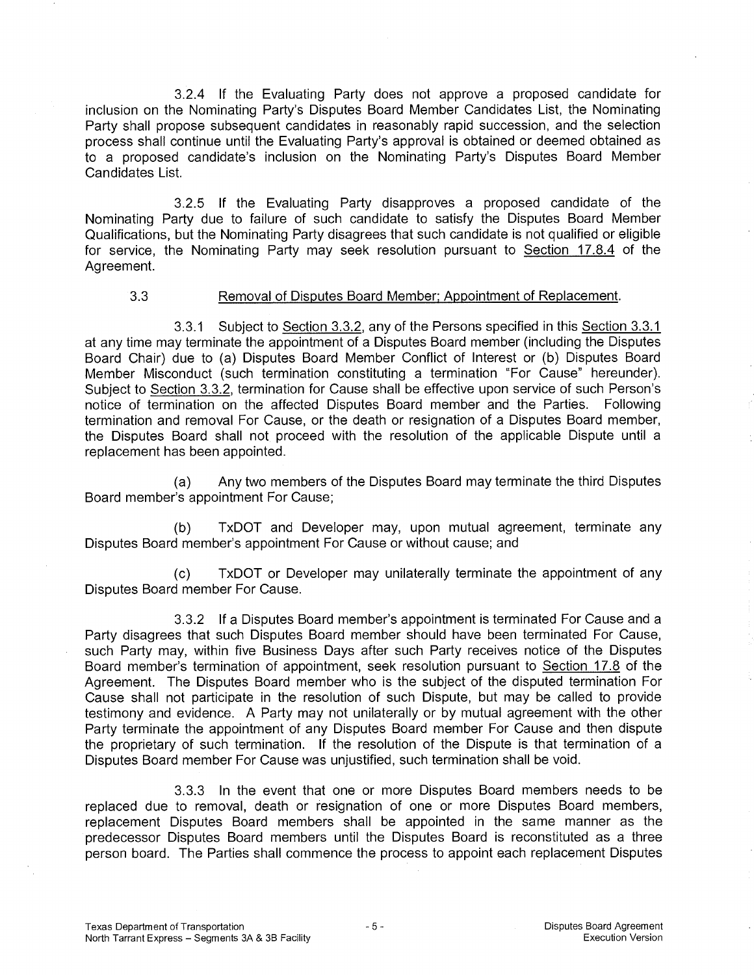3.2.4 If the Evaluating Party does not approve a proposed candidate for inclusion on the Nominating Party's Disputes Board Member Candidates List, the Nominating Party shall propose subsequent candidates in reasonably rapid succession, and the selection process shall continue until the Evaluating Party's approval is obtained or deemed obtained as to a proposed candidate's inclusion on the Nominating Party's Disputes Board Member Candidates List.

3.2.5 If the Evaluating Party disapproves a proposed candidate of the Nominating Party due to failure of such candidate to satisfy the Disputes Board Member Qualifications, but the Nominating Party disagrees that such candidate is not qualified or eligible for service, the Nominating Party may seek resolution pursuant to Section 17.8.4 of the Agreement.

### 3.3 Removal of Disputes Board Member; Appointment of Replacement.

3.3.1 Subject to Section 3.3.2, any of the Persons specified in this Section 3.3.1 at any time may terminate the appointment of a Disputes Board member (including the Disputes Board Chair) due to (a) Disputes Board Member Conflict of Interest or (b) Disputes Board Member Misconduct (such termination constituting a termination "For Cause" hereunder). Subject to Section 3.3.2, termination for Cause shall be effective upon service of such Person's notice of termination on the affected Disputes Board member and the Parties. Following termination and removal For Cause, or the death or resignation of a Disputes Board member, the Disputes Board shall not proceed with the resolution of the applicable Dispute until a replacement has been appointed.

(a) Any two members of the Disputes Board may terminate the third Disputes Board member's appointment For Cause;

(b) TxDOT and Developer may, upon mutual agreement, terminate any Disputes Board member's appointment For Cause or without cause; and

(c) TxDOT or Developer may unilaterally terminate the appointment of any Disputes Board member For Cause.

3.3.2 If a Disputes Board member's appointment is terminated For Cause and a Party disagrees that such Disputes Board member should have been terminated For Cause, such Party may, within five Business Days after such Party receives notice of the Disputes Board member's termination of appointment, seek resolution pursuant to Section 17.8 of the Agreement. The Disputes Board member who is the subject of the disputed termination For Cause shall not participate in the resolution of such Dispute, but may be called to provide testimony and evidence. A Party may not unilaterally or by mutual agreement with the other Party terminate the appointment of any Disputes Board member For Cause and then dispute the proprietary of such termination. If the resolution of the Dispute is that termination of a Disputes Board member For Cause was unjustified, such termination shall be void.

3.3.3 In the event that one or more Disputes Board members needs to be replaced due to removal, death or resignation of one or more Disputes Board members, replacement Disputes Board members shall be appointed in the same manner as the predecessor Disputes Board members until the Disputes Board is reconstituted as a three person board. The Parties shall commence the process to appoint each replacement Disputes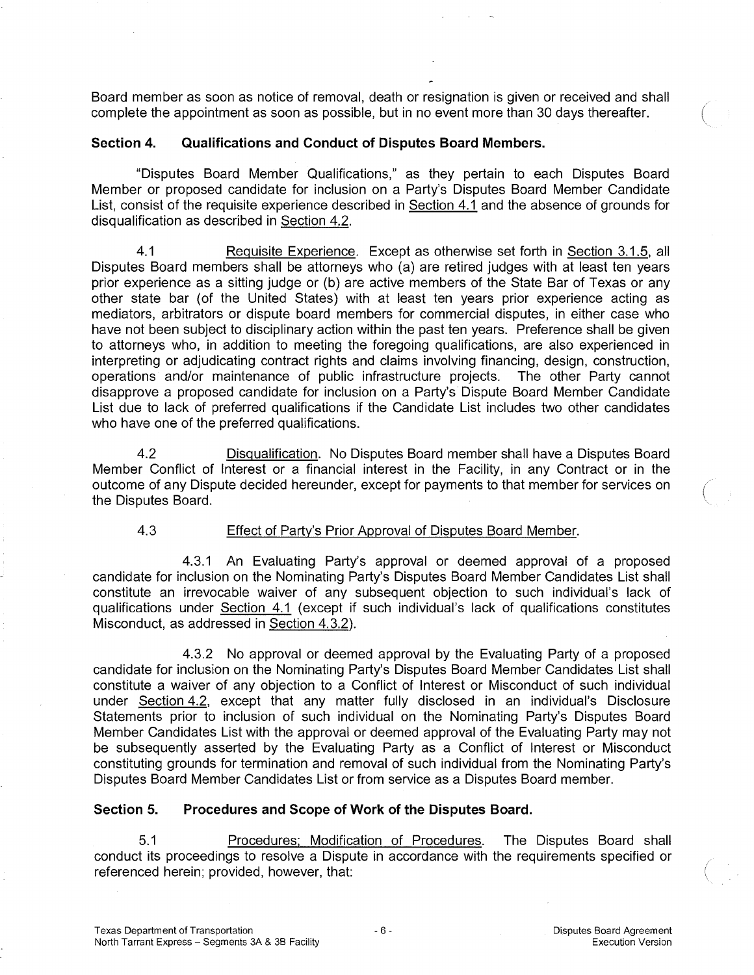Board member as soon as notice of removal, death or resignation is given or received and shall complete the appointment as soon as possible, but in no event more than 30 days thereafter.

## **Section 4. Qualifications and Conduct of Disputes Board Members.**

"Disputes Board Member Qualifications," as they pertain to each Disputes Board Member or proposed candidate for inclusion on a Party's Disputes Board Member Candidate List, consist of the requisite experience described in Section 4.1 and the absence of grounds for disqualification as described in Section 4.2.

4.1 Requisite Experience. Except as otherwise set forth in Section 3.1.5, all Disputes Board members shall be attorneys who (a) are retired judges with at least ten years prior experience as a sitting judge or (b) are active members of the State Bar of Texas or any other state bar (of the United States) with at least ten years prior experience acting as mediators, arbitrators or dispute board members for commercial disputes, in either case who have not been subject to disciplinary action within the past ten years. Preference shall be given to attorneys who, in addition to meeting the foregoing qualifications, are also experienced in interpreting or adjudicating contract rights and claims involving financing, design, construction, operations and/or maintenance of public infrastructure projects. The other Party cannot disapprove a proposed candidate for inclusion on a Party's Dispute Board Member Candidate List due to lack of preferred qualifications if the Candidate List includes two other candidates who have one of the preferred qualifications.

4.2 Disqualification. No Disputes Board member shall have a Disputes Board Member Conflict of Interest or a financial interest in the Facility, in any Contract or in the outcome of any Dispute decided hereunder, except for payments to that member for services on the Disputes Board.

## 4.3 Effect of Party's Prior Approval of Disputes Board Member.

4.3.1 An Evaluating Party's approval or deemed approval of a proposed candidate for inclusion on the Nominating Party's Disputes Board Member Candidates List shall constitute an irrevocable waiver of any subsequent objection to such individual's lack of qualifications under Section 4.1 (except if such individual's lack of qualifications constitutes Misconduct, as addressed in Section 4.3.2).

4.3.2 No approval or deemed approval by the Evaluating Party of a proposed candidate for inclusion on the Nominating Party's Disputes Board Member Candidates List shall constitute a waiver of any objection to a Conflict of Interest or Misconduct of such individual under Section 4.2, except that any matter fully disclosed in an individual's Disclosure Statements prior to inclusion of such individual on the Nominating Party's Disputes Board Member Candidates List with the approval or deemed approval of the Evaluating Party may not be subsequently asserted by the Evaluating Party as a Conflict of Interest or Misconduct constituting grounds for termination and removal of such individual from the Nominating Party's Disputes Board Member Candidates List or from service as a Disputes Board member.

## **Section 5. Procedures and Scope of Work of the Disputes Board.**

5.1 Procedures; Modification of Procedures. The Disputes Board shall conduct its proceedings to resolve a Dispute in accordance with the requirements specified or referenced herein; provided, however, that: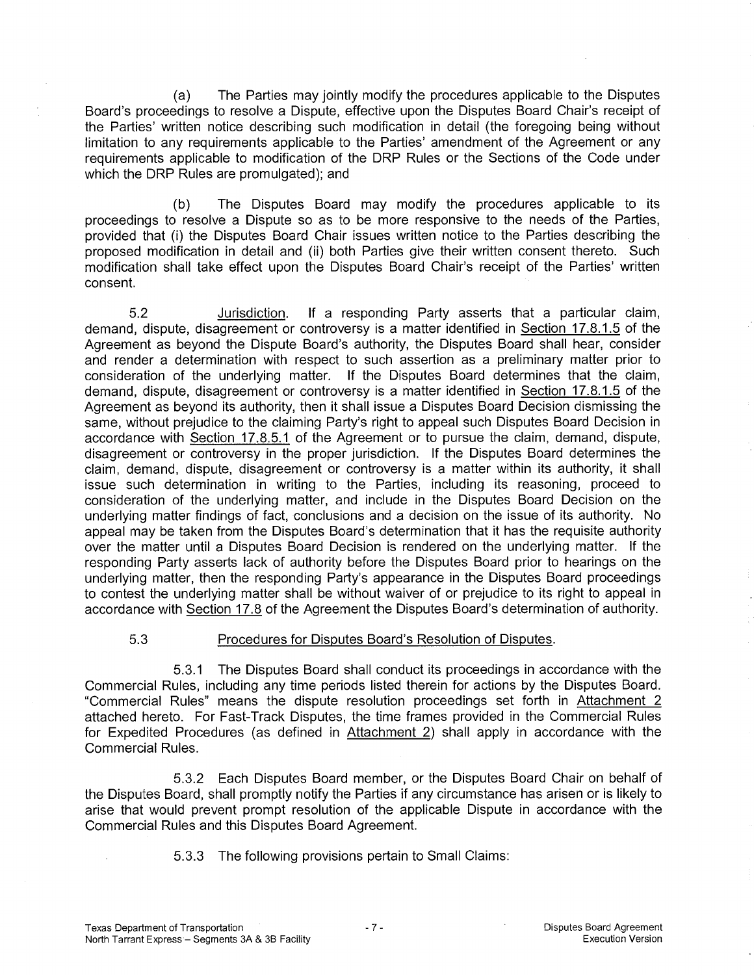(a) The Parties may jointly modify the procedures applicable to the Disputes Board's proceedings to resolve a Dispute, effective upon the Disputes Board Chair's receipt of the Parties' written notice describing such modification in detail (the foregoing being without limitation to any requirements applicable to the Parties' amendment of the Agreement or any requirements applicable to modification of the DRP Rules or the Sections of the Code under which the DRP Rules are promulgated); and

(b) The Disputes Board may modify the procedures applicable to its proceedings to resolve a Dispute so as to be more responsive to the needs of the Parties, provided that (i) the Disputes Board Chair issues written notice to the Parties describing the proposed modification in detail and (ii) both Parties give their written consent thereto. Such modification shall take effect upon the Disputes Board Chair's receipt of the Parties' written consent.

5.2 Jurisdiction. If a responding Party asserts that a particular claim, demand, dispute, disagreement or controversy is a matter identified in Section 17.8.1.5 of the Agreement as beyond the Dispute Board's authority, the Disputes Board shall hear, consider and render a determination with respect to such assertion as a preliminary matter prior to consideration of the underlying matter. If the Disputes Board determines that the claim, demand, dispute, disagreement or controversy is a matter identified in Section 17.8.1.5 of the Agreement as beyond its authority, then it shall issue a Disputes Board Decision dismissing the same, without prejudice to the claiming Party's right to appeal such Disputes Board Decision in accordance with Section 17.8.5.1 of the Agreement or to pursue the claim, demand, dispute, disagreement or controversy in the proper jurisdiction. If the Disputes Board determines the claim, demand, dispute, disagreement or controversy is a matter within its authority, it shall issue such determination in writing to the Parties, including its reasoning, proceed to consideration of the underlying matter, and include in the Disputes Board Decision on the underlying matter findings of fact, conclusions and a decision on the issue of its authority. No appeal may be taken from the Disputes Board's determination that it has the requisite authority over the matter until a Disputes Board Decision is rendered on the underlying matter. If the responding Party asserts lack of authority before the Disputes Board prior to hearings on the underlying matter, then the responding Party's appearance in the Disputes Board proceedings to contest the underlying matter shall be without waiver of or prejudice to its right to appeal in accordance with Section 17.8 of the Agreement the Disputes Board's determination of authority.

# 5.3 Procedures for Disputes Board's Resolution of Disputes.

5.3.1 The Disputes Board shall conduct its proceedings in accordance with the Commercial Rules, including any time periods listed therein for actions by the Disputes Board. "Commercial Rules" means the dispute resolution proceedings set forth in Attachment 2 attached hereto. For Fast-Track Disputes, the time frames provided in the Commercial Rules for Expedited Procedures (as defined in Attachment 2) shall apply in accordance with the Commercial Rules.

5.3.2 Each Disputes Board member, or the Disputes Board Chair on behalf of the Disputes Board, shall promptly notify the Parties if any circumstance has arisen or is likely to arise that would prevent prompt resolution of the applicable Dispute in accordance with the Commercial Rules and this Disputes Board Agreement.

5.3.3 The following provisions pertain to Small Claims: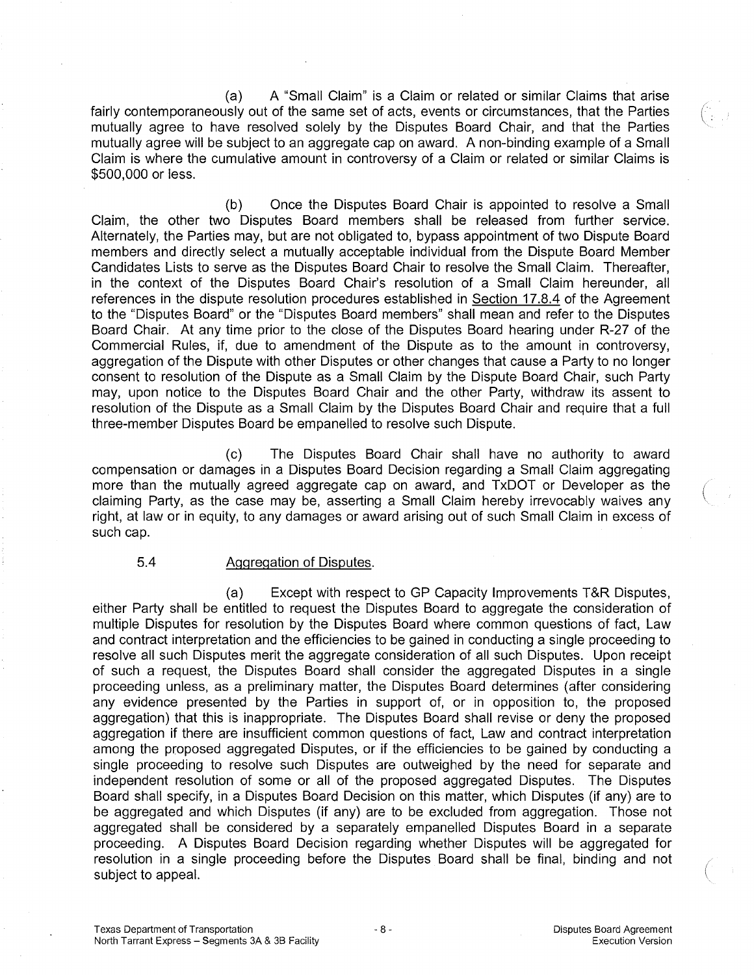(a) A "Small Claim" is a Claim or related or similar Claims that arise fairly contemporaneously out of the same set of acts, events or circumstances, that the Parties mutually agree to have resolved solely by the Disputes Board Chair, and that the Parties mutually agree will be subject to an aggregate cap on award. A non-binding example of a Small Claim is where the cumulative amount in controversy of a Claim or related or similar Claims is \$500,000 or less.

(b) Once the Disputes Board Chair is appointed to resolve a Small Claim, the other two Disputes Board members shall be released from further service. Alternately, the Parties may, but are not obligated to, bypass appointment of two Dispute Board members and directly select a mutually acceptable individual from the Dispute Board Member Candidates Lists to serve as the Disputes Board Chair to resolve the Small Claim. Thereafter, in the context of the Disputes Board Chair's resolution of a Small Claim hereunder, all references in the dispute resolution procedures established in Section 17.8.4 of the Agreement to the "Disputes Board" or the "Disputes Board members" shall mean and refer to the Disputes Board Chair. At any time prior to the close of the Disputes Board hearing under R-27 of the Commercial Rules, if, due to amendment of the Dispute as to the amount in controversy, aggregation of the Dispute with other Disputes or other changes that cause a Party to no longer consent to resolution of the Dispute as a Small Claim by the Dispute Board Chair, such Party may, upon notice to the Disputes Board Chair and the other Party, withdraw its assent to resolution of the Dispute as a Small Claim by the Disputes Board Chair and require that a full three-member Disputes Board be empanelled to resolve such Dispute.

(c) The Disputes Board Chair shall have no authority to award compensation or damages in a Disputes Board Decision regarding a Small Claim aggregating more than the mutually agreed aggregate cap on award, and TxDOT or Developer as the claiming Party, as the case may be, asserting a Small Claim hereby irrevocably waives any right, at law or in equity, to any damages or award arising out of such Small Claim in excess of such cap.

### 5.4 Aggregation of Disputes.

(a) Except with respect to GP Capacity Improvements T&R Disputes, either Party shall be entitled to request the Disputes Board to aggregate the consideration of multiple Disputes for resolution by the Disputes Board where common questions of fact, Law and contract interpretation and the efficiencies to be gained in conducting a single proceeding to resolve all such Disputes merit the aggregate consideration of all such Disputes. Upon receipt of such a request, the Disputes Board shall consider the aggregated Disputes in a single proceeding unless, as a preliminary matter, the Disputes Board determines (after considering any evidence presented by the Parties in support of, or in opposition to, the proposed aggregation) that this is inappropriate. The Disputes Board shall revise or deny the proposed aggregation if there are insufficient common questions of fact, Law and contract interpretation among the proposed aggregated Disputes, or if the efficiencies to be gained by conducting a single proceeding to resolve such Disputes are outweighed by the need for separate and independent resolution of some or all of the proposed aggregated Disputes. The Disputes Board shall specify, in a Disputes Board Decision on this matter, which Disputes (if any) are to be aggregated and which Disputes (if any) are to be excluded from aggregation. Those not aggregated shall be considered by a separately empanelled Disputes Board in a separate proceeding. A Disputes Board Decision regarding whether Disputes will be aggregated for resolution in a single proceeding before the Disputes Board shall be final, binding and not subject to appeal.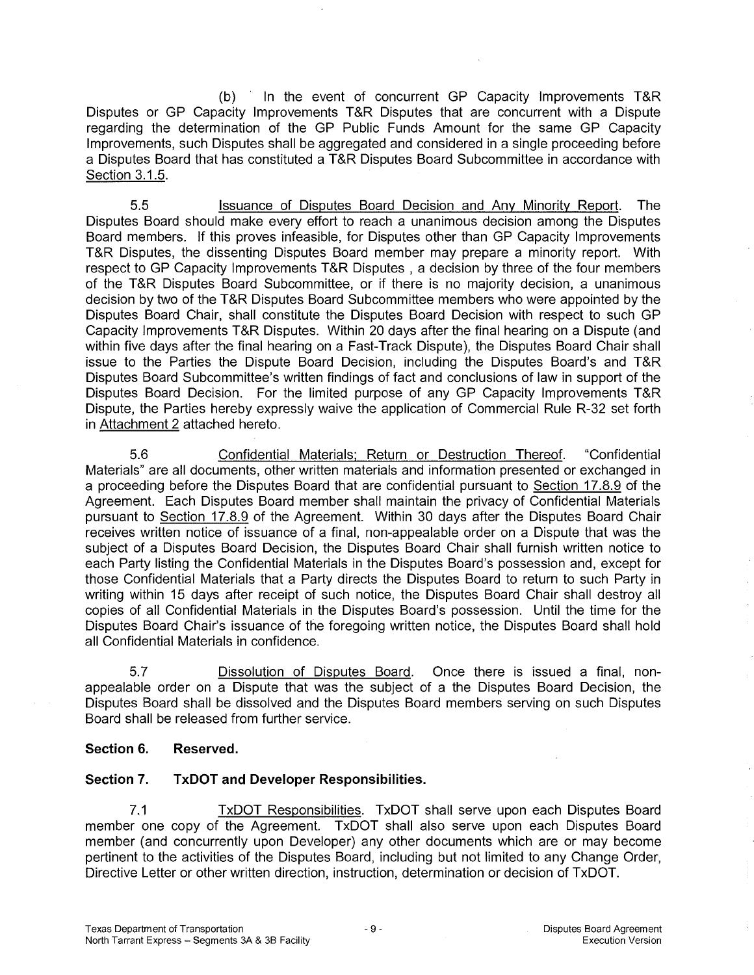(b) In the event of concurrent GP Capacity Improvements T&R Disputes or GP Capacity Improvements T&R Disputes that are concurrent with a Dispute regarding the determination of the GP Public Funds Amount for the same GP Capacity Improvements, such Disputes shall be aggregated and considered in a single proceeding before a Disputes Board that has constituted a T&R Disputes Board Subcommittee in accordance with Section 3.1.5.

5.5 Issuance of Disputes Board Decision and Any Minority Report. The Disputes Board should make every effort to reach a unanimous decision among the Disputes Board members. If this proves infeasible, for Disputes other than GP Capacity Improvements T&R Disputes, the dissenting Disputes Board member may prepare a minority report. With respect to GP Capacity Improvements T&R Disputes , a decision by three of the four members of the T&R Disputes Board Subcommittee, or if there is no majority decision, a unanimous decision by two of the T&R Disputes Board Subcommittee members who were appointed by the Disputes Board Chair, shall constitute the Disputes Board Decision with respect to such GP Capacity Improvements T&R Disputes. Within 20 days after the final hearing on a Dispute (and within five days after the final hearing on a Fast-Track Dispute), the Disputes Board Chair shall issue to the Parties the Dispute Board Decision, including the Disputes Board's and T&R Disputes Board Subcommittee's written findings of fact and conclusions of law in support of the Disputes Board Decision. For the limited purpose of any GP Capacity Improvements T&R Dispute, the Parties hereby expressly waive the application of Commercial Rule R-32 set forth in Attachment 2 attached hereto.

5.6 Confidential Materials; Return or Destruction Thereof. "Confidential Materials" are all documents, other written materials and information presented or exchanged in a proceeding before the Disputes Board that are confidential pursuant to Section 17.8.9 of the Agreement. Each Disputes Board member shall maintain the privacy of Confidential Materials pursuant to Section 17.8.9 of the Agreement. Within 30 days after the Disputes Board Chair receives written notice of issuance of a final, non-appealable order on a Dispute that was the subject of a Disputes Board Decision, the Disputes Board Chair shall furnish written notice to each Party listing the Confidential Materials in the Disputes Board's possession and, except for those Confidential Materials that a Party directs the Disputes Board to return to such Party in writing within 15 days after receipt of such notice, the Disputes Board Chair shall destroy all copies of all Confidential Materials in the Disputes Board's possession. Until the time for the Disputes Board Chair's issuance of the foregoing written notice, the Disputes Board shall hold all Confidential Materials in confidence.

5.7 Dissolution of Disputes Board. Once there is issued a final, nonappealable order on a Dispute that was the subject of a the Disputes Board Decision, the Disputes Board shall be dissolved and the Disputes Board members serving on such Disputes Board shall be released from further service.

# **Section 6. Reserved.**

# **Section 7. TxDOT and Developer Responsibilities.**

7.1 TxDOT Responsibilities. TxDOT shall serve upon each Disputes Board member one copy of the Agreement. TxDOT shall also serve upon each Disputes Board member (and concurrently upon Developer) any other documents which are or may become pertinent to the activities of the Disputes Board, including but not limited to any Change Order, Directive Letter or other written direction, instruction, determination or decision of TxDOT.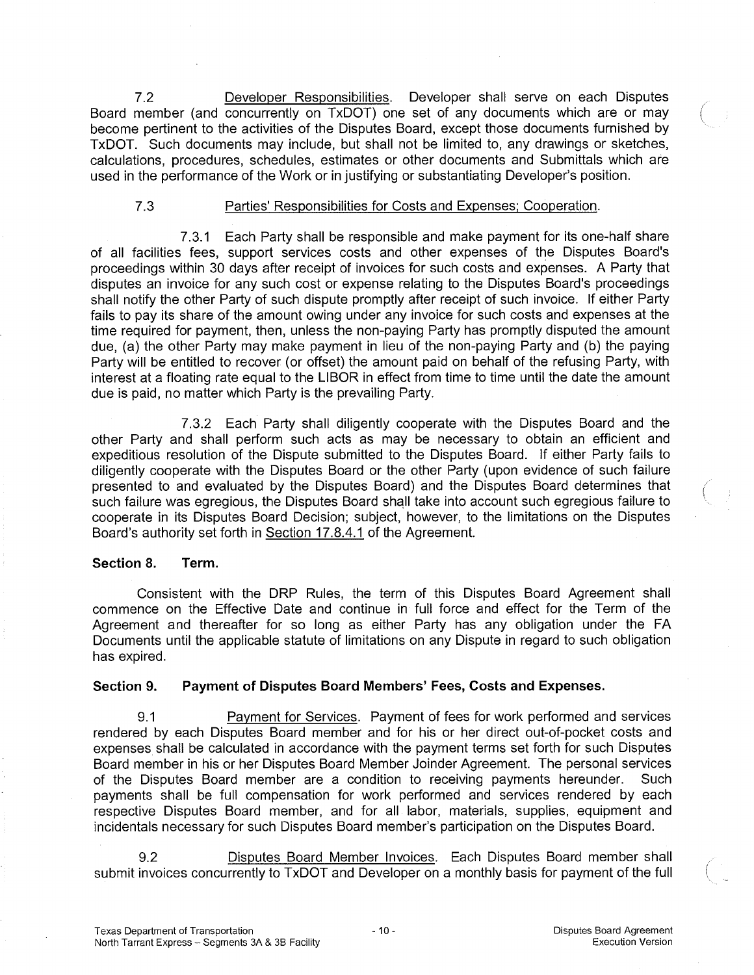7.2 Developer Responsibilities. Developer shall serve on each Disputes Board member (and concurrently on TxDOT) one set of any documents which are or may become pertinent to the activities of the Disputes Board, except those documents furnished by TxDOT. Such documents may include, but shall not be limited to, any drawings or sketches, calculations, procedures, schedules, estimates or other documents and Submittals which are used in the performance of the Work or in justifying or substantiating Developer's position.

## 7.3 Parties' Responsibilities for Costs and Expenses; Cooperation.

7.3.1 Each Party shall be responsible and make payment for its one-half share of all facilities fees, support services costs and other expenses of the Disputes Board's proceedings within 30 days after receipt of invoices for such costs and expenses. A Party that disputes an invoice for any such cost or expense relating to the Disputes Board's proceedings shall notify the other Party of such dispute promptly after receipt of such invoice. If either Party fails to pay its share of the amount owing under any invoice for such costs and expenses at the time required for payment, then, unless the non-paying Party has promptly disputed the amount due, (a) the other Party may make payment in lieu of the non-paying Party and (b) the paying Party will be entitled to recover (or offset) the amount paid on behalf of the refusing Party, with interest at a floating rate equal to the LIBOR in effect from time to time until the date the amount due is paid, no matter which Party is the prevailing Party.

7.3.2 Each Party shall diligently cooperate with the Disputes Board and the other Party and shall perform such acts as may be necessary to obtain an efficient and expeditious resolution of the Dispute submitted to the Disputes Board. If either Party fails to diligently cooperate with the Disputes Board or the other Party (upon evidence of such failure presented to and evaluated by the Disputes Board) and the Disputes Board determines that such failure was egregious, the Disputes Board shall take into account such egregious failure to cooperate in its Disputes Board Decision; subject, however, to the limitations on the Disputes Board's authority set forth in Section 17.8.4.1 of the Agreement.

## **Section 8. Term.**

Consistent with the DRP Rules, the term of this Disputes Board Agreement shall commence on the Effective Date and continue in full force and effect for the Term of the Agreement and thereafter for so long as either Party has any obligation under the FA Documents until the applicable statute of limitations on any Dispute in regard to such obligation has expired.

## **Section 9. Payment of Disputes Board Members' Fees, Costs and Expenses.**

9.1 Payment for Services. Payment of fees for work performed and services rendered by each Disputes Board member and for his or her direct out-of-pocket costs and expenses shall be calculated in accordance with the payment terms set forth for such Disputes Board member in his or her Disputes Board Member Joinder Agreement. The personal services of the Disputes Board member are a condition to receiving payments hereunder. Such payments shall be full compensation for work performed and services rendered by each respective Disputes Board member, and for all labor, materials, supplies, equipment and incidentals necessary for such Disputes Board member's participation on the Disputes Board.

9.2 Disputes Board Member Invoices. Each Disputes Board member shall submit invoices concurrently to TxDOT and Developer on a monthly basis for payment of the full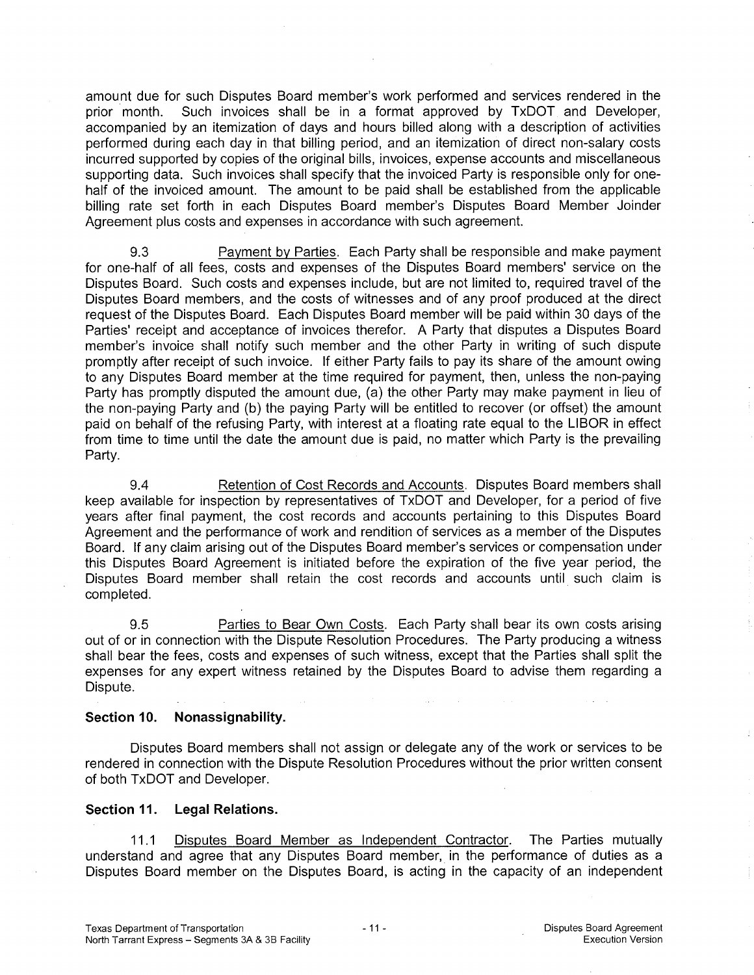amount due for such Disputes Board member's work performed and services rendered in the prior month. Such invoices shall be in a format approved by TxDOT and Developer, accompanied by an itemization of days and hours billed along with a description of activities performed during each day in that billing period, and an itemization of direct non-salary costs incurred supported by copies of the original bills, invoices, expense accounts and miscellaneous supporting data. Such invoices shall specify that the invoiced Party is responsible only for onehalf of the invoiced amount. The amount to be paid shall be established from the applicable billing rate set forth in each Disputes Board member's Disputes Board Member Joinder Agreement plus costs and expenses in accordance with such agreement.

9.3 Payment by Parties. Each Party shall be responsible and make payment for one-half of all fees, costs and expenses of the Disputes Board members' service on the Disputes Board. Such costs and expenses include, but are not limited to, required travel of the Disputes Board members, and the costs of witnesses and of any proof produced at the direct request of the Disputes Board. Each Disputes Board member will be paid within 30 days of the Parties' receipt and acceptance of invoices therefor. A Party that disputes a Disputes Board member's invoice shall notify such member and the other Party in writing of such dispute promptly after receipt of such invoice. If either Party fails to pay its share of the amount owing to any Disputes Board member at the time required for payment, then, unless the non-paying Party has promptly disputed the amount due, (a) the other Party may make payment in lieu of the non-paying Party and (b) the paying Party will be entitled to recover (or offset) the amount paid on behalf of the refusing Party, with interest at a floating rate equal to the LIBOR in effect from time to time until the date the amount due is paid, no matter which Party is the prevailing Party.

9.4 Retention of Cost Records and Accounts. Disputes Board members shall keep available for inspection by representatives of TxDOT and Developer, for a period of five years after final payment, the cost records and accounts pertaining to this Disputes Board Agreement and the performance of work and rendition of services as a member of the Disputes Board. If any claim arising out of the Disputes Board member's services or compensation under this Disputes Board Agreement is initiated before the expiration of the five year period, the Disputes Board member shall retain the cost records and accounts until such claim is completed.

9.5 Parties to Bear Own Costs. Each Party shall bear its own costs arising out of or in connection with the Dispute Resolution Procedures. The Party producing a witness shall bear the fees, costs and expenses of such witness, except that the Parties shall split the expenses for any expert witness retained by the Disputes Board to advise them regarding a Dispute.

### **Section 10. Nonassignability.**

Disputes Board members shall not assign or delegate any of the work or services to be rendered in connection with the Dispute Resolution Procedures without the prior written consent of both TxDOT and Developer.

## **Section 11. Legal Relations.**

11.1 Disputes Board Member as Independent Contractor. The Parties mutually understand and agree that any Disputes Board member, in the performance of duties as a Disputes Board member on the Disputes Board, is acting in the capacity of an independent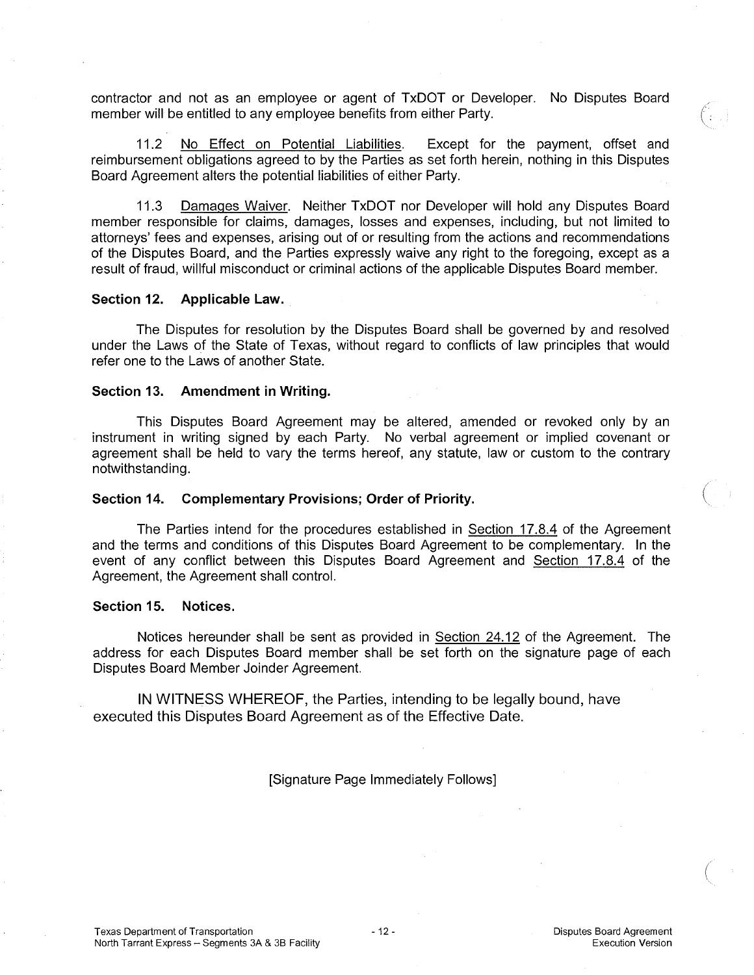contractor and not as an employee or agent of TxDOT or Developer. No Disputes Board member will be entitled to any employee benefits from either Party.

11.2 No Effect on Potential Liabilities. Except for the payment, offset and reimbursement obligations agreed to by the Parties as set forth herein, nothing in this Disputes Board Agreement alters the potential liabilities of either Party.

11.3 Damages Waiver. Neither TxDOT nor Developer will hold any Disputes Board member responsible for claims, damages, losses and expenses, including, but not limited to attorneys' fees and expenses, arising out of or resulting from the actions and recommendations of the Disputes Board, and the Parties expressly waive any right to the foregoing, except as a result of fraud, willful misconduct or criminal actions of the applicable Disputes Board member.

#### **Section 12. Applicable Law.**

The Disputes for resolution by the Disputes Board shall be governed by and resolved under the Laws of the State of Texas, without regard to conflicts of law principles that would refer one to the Laws of another State.

#### **Section 13. Amendment in Writing.**

This Disputes Board Agreement may be altered, amended or revoked only by an instrument in writing signed by each Party. No verbal agreement or implied covenant or agreement shall be held to vary the terms hereof, any statute, law or custom to the contrary notwithstanding.

#### **Section 14. Complementary Provisions; Order of Priority.**

The Parties intend for the procedures established in Section 17.8.4 of the Agreement and the terms and conditions of this Disputes Board Agreement to be complementary. In the event of any conflict between this Disputes Board Agreement and Section 17.8.4 of the Agreement, the Agreement shall control.

#### **Section 15. Notices.**

Notices hereunder shall be sent as provided in Section 24.12 of the Agreement. The address for each Disputes Board member shall be set forth on the signature page of each Disputes Board Member Joinder Agreement.

IN WITNESS WHEREOF, the Parties, intending to be legally bound, have executed this Disputes Board Agreement as of the Effective Date.

[Signature Page Immediately Follows]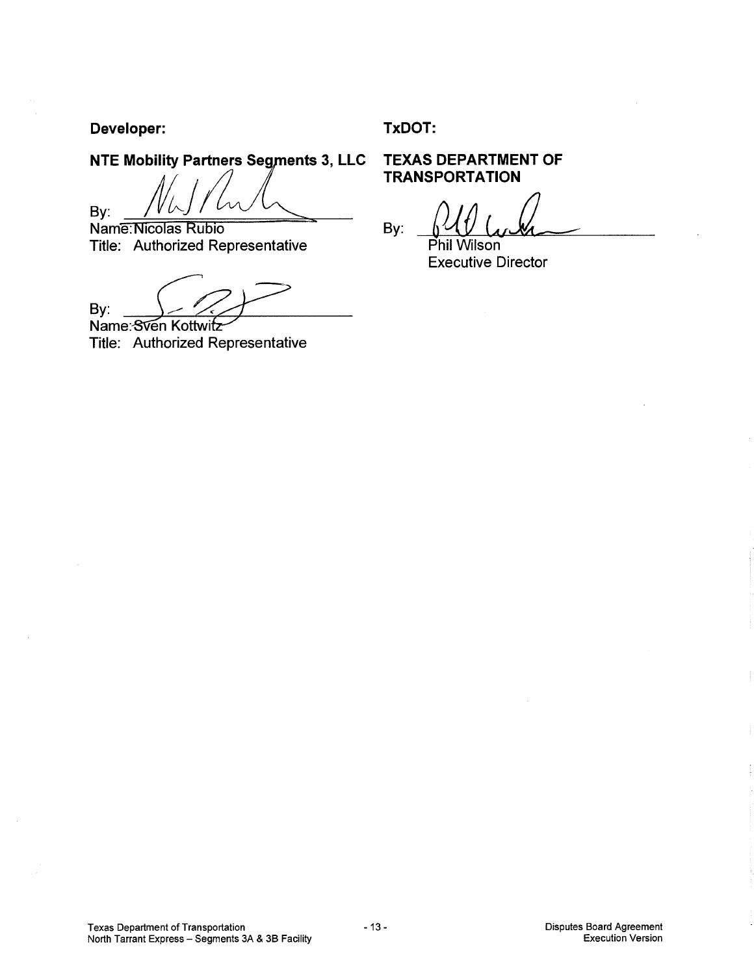**Developer: TxDOT:** 

**NTE Mobility Partners Segments 3, LLC TEXAS DEPARTMENT OF** 

By: <u>Mulled Ward Colle</u><br>By: <u>Micolas Rubio</u>

Title: Authorized Representative

By: Name: Sven Kottwitz

Title: Authorized Representative

**TRANSPORTATION** 

By: Phil Wilson

Executive Director